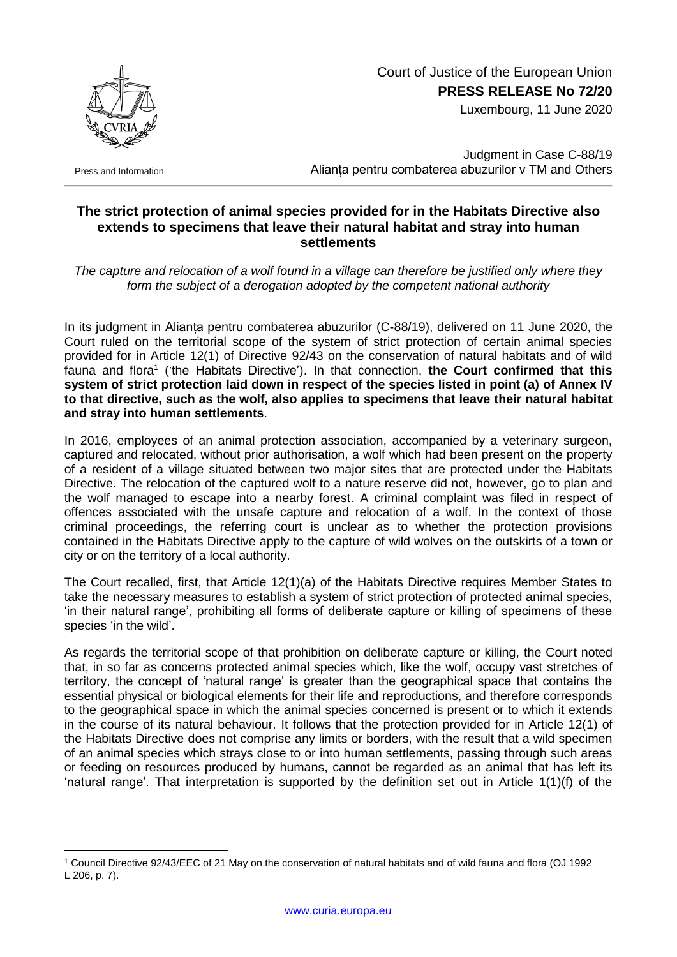

Press and Information

1

## Court of Justice of the European Union **PRESS RELEASE No 72/20**

Luxembourg, 11 June 2020

Judgment in Case C-88/19 Alianța pentru combaterea abuzurilor v TM and Others

## **The strict protection of animal species provided for in the Habitats Directive also extends to specimens that leave their natural habitat and stray into human settlements**

*The capture and relocation of a wolf found in a village can therefore be justified only where they form the subject of a derogation adopted by the competent national authority*

In its judgment in Alianța pentru combaterea abuzurilor (C-88/19), delivered on 11 June 2020, the Court ruled on the territorial scope of the system of strict protection of certain animal species provided for in Article 12(1) of Directive 92/43 on the conservation of natural habitats and of wild fauna and flora<sup>1</sup> ('the Habitats Directive'). In that connection, the Court confirmed that this **system of strict protection laid down in respect of the species listed in point (a) of Annex IV to that directive, such as the wolf, also applies to specimens that leave their natural habitat and stray into human settlements**.

In 2016, employees of an animal protection association, accompanied by a veterinary surgeon, captured and relocated, without prior authorisation, a wolf which had been present on the property of a resident of a village situated between two major sites that are protected under the Habitats Directive. The relocation of the captured wolf to a nature reserve did not, however, go to plan and the wolf managed to escape into a nearby forest. A criminal complaint was filed in respect of offences associated with the unsafe capture and relocation of a wolf. In the context of those criminal proceedings, the referring court is unclear as to whether the protection provisions contained in the Habitats Directive apply to the capture of wild wolves on the outskirts of a town or city or on the territory of a local authority.

The Court recalled, first, that Article 12(1)(a) of the Habitats Directive requires Member States to take the necessary measures to establish a system of strict protection of protected animal species, 'in their natural range', prohibiting all forms of deliberate capture or killing of specimens of these species 'in the wild'.

As regards the territorial scope of that prohibition on deliberate capture or killing, the Court noted that, in so far as concerns protected animal species which, like the wolf, occupy vast stretches of territory, the concept of 'natural range' is greater than the geographical space that contains the essential physical or biological elements for their life and reproductions, and therefore corresponds to the geographical space in which the animal species concerned is present or to which it extends in the course of its natural behaviour. It follows that the protection provided for in Article 12(1) of the Habitats Directive does not comprise any limits or borders, with the result that a wild specimen of an animal species which strays close to or into human settlements, passing through such areas or feeding on resources produced by humans, cannot be regarded as an animal that has left its 'natural range'. That interpretation is supported by the definition set out in Article 1(1)(f) of the

<sup>1</sup> Council Directive 92/43/EEC of 21 May on the conservation of natural habitats and of wild fauna and flora (OJ 1992 L 206, p. 7).